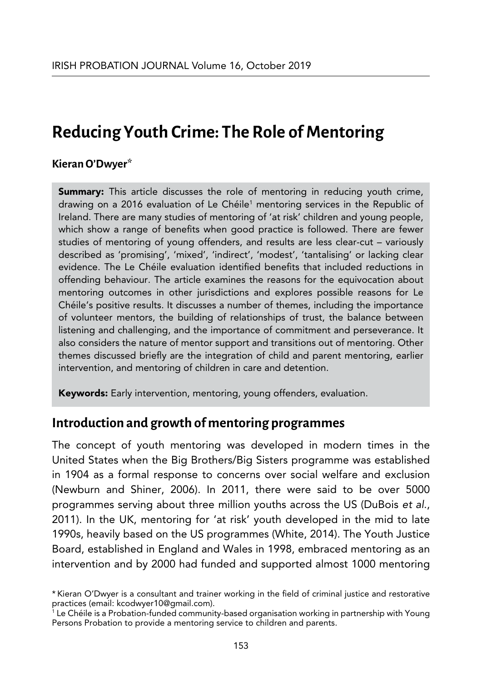# **Reducing Youth Crime: The Role of Mentoring**

#### **Kieran O'Dwyer\***

**Summary:** This article discusses the role of mentoring in reducing youth crime, drawing on a 2016 evaluation of Le Chéile' mentoring services in the Republic of Ireland. There are many studies of mentoring of 'at risk' children and young people, which show a range of benefits when good practice is followed. There are fewer studies of mentoring of young offenders, and results are less clear-cut – variously described as 'promising', 'mixed', 'indirect', 'modest', 'tantalising' or lacking clear evidence. The Le Chéile evaluation identified benefits that included reductions in offending behaviour. The article examines the reasons for the equivocation about mentoring outcomes in other jurisdictions and explores possible reasons for Le Chéile's positive results. It discusses a number of themes, including the importance of volunteer mentors, the building of relationships of trust, the balance between listening and challenging, and the importance of commitment and perseverance. It also considers the nature of mentor support and transitions out of mentoring. Other themes discussed briefly are the integration of child and parent mentoring, earlier intervention, and mentoring of children in care and detention.

Keywords: Early intervention, mentoring, young offenders, evaluation.

## **Introduction and growth of mentoring programmes**

The concept of youth mentoring was developed in modern times in the United States when the Big Brothers/Big Sisters programme was established in 1904 as a formal response to concerns over social welfare and exclusion (Newburn and Shiner, 2006). In 2011, there were said to be over 5000 programmes serving about three million youths across the US (DuBois *et al*., 2011). In the UK, mentoring for 'at risk' youth developed in the mid to late 1990s, heavily based on the US programmes (White, 2014). The Youth Justice Board, established in England and Wales in 1998, embraced mentoring as an intervention and by 2000 had funded and supported almost 1000 mentoring

<sup>\*</sup> Kieran O'Dwyer is a consultant and trainer working in the field of criminal justice and restorative practices (email: kcodwyer10@gmail.com).

<sup>1</sup> Le Chéile is a Probation-funded community-based organisation working in partnership with Young Persons Probation to provide a mentoring service to children and parents.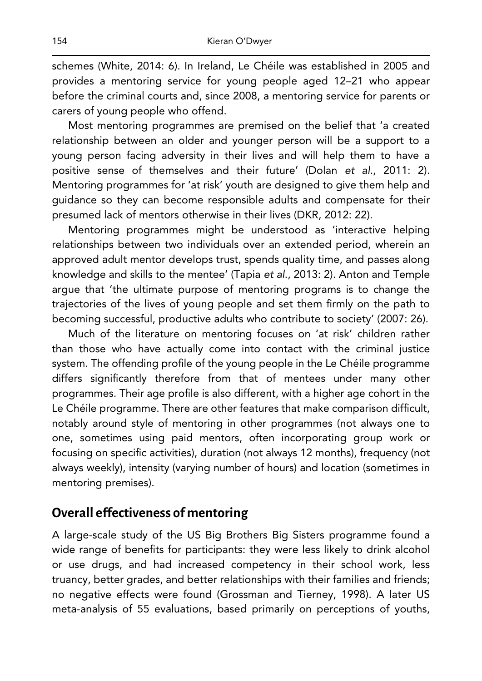schemes (White, 2014: 6). In Ireland, Le Chéile was established in 2005 and provides a mentoring service for young people aged 12–21 who appear before the criminal courts and, since 2008, a mentoring service for parents or carers of young people who offend.

Most mentoring programmes are premised on the belief that 'a created relationship between an older and younger person will be a support to a young person facing adversity in their lives and will help them to have a positive sense of themselves and their future' (Dolan *et al*., 2011: 2). Mentoring programmes for 'at risk' youth are designed to give them help and guidance so they can become responsible adults and compensate for their presumed lack of mentors otherwise in their lives (DKR, 2012: 22).

Mentoring programmes might be understood as 'interactive helping relationships between two individuals over an extended period, wherein an approved adult mentor develops trust, spends quality time, and passes along knowledge and skills to the mentee' (Tapia *et al*., 2013: 2). Anton and Temple argue that 'the ultimate purpose of mentoring programs is to change the trajectories of the lives of young people and set them firmly on the path to becoming successful, productive adults who contribute to society' (2007: 26).

Much of the literature on mentoring focuses on 'at risk' children rather than those who have actually come into contact with the criminal justice system. The offending profile of the young people in the Le Chéile programme differs significantly therefore from that of mentees under many other programmes. Their age profile is also different, with a higher age cohort in the Le Chéile programme. There are other features that make comparison difficult, notably around style of mentoring in other programmes (not always one to one, sometimes using paid mentors, often incorporating group work or focusing on specific activities), duration (not always 12 months), frequency (not always weekly), intensity (varying number of hours) and location (sometimes in mentoring premises).

# **Overall effectiveness of mentoring**

A large-scale study of the US Big Brothers Big Sisters programme found a wide range of benefits for participants: they were less likely to drink alcohol or use drugs, and had increased competency in their school work, less truancy, better grades, and better relationships with their families and friends; no negative effects were found (Grossman and Tierney, 1998). A later US meta-analysis of 55 evaluations, based primarily on perceptions of youths,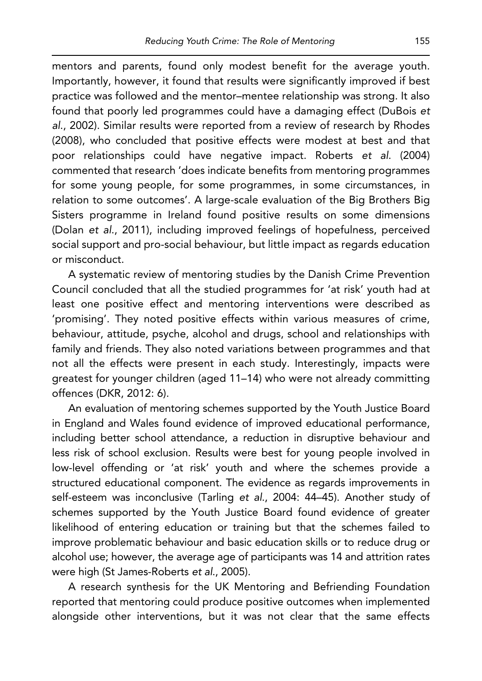mentors and parents, found only modest benefit for the average youth. Importantly, however, it found that results were significantly improved if best practice was followed and the mentor–mentee relationship was strong. It also found that poorly led programmes could have a damaging effect (DuBois *et al*., 2002). Similar results were reported from a review of research by Rhodes (2008), who concluded that positive effects were modest at best and that poor relationships could have negative impact. Roberts *et al*. (2004) commented that research 'does indicate benefits from mentoring programmes for some young people, for some programmes, in some circumstances, in relation to some outcomes'. A large-scale evaluation of the Big Brothers Big Sisters programme in Ireland found positive results on some dimensions (Dolan *et al*., 2011), including improved feelings of hopefulness, perceived social support and pro-social behaviour, but little impact as regards education or misconduct.

A systematic review of mentoring studies by the Danish Crime Prevention Council concluded that all the studied programmes for 'at risk' youth had at least one positive effect and mentoring interventions were described as 'promising'. They noted positive effects within various measures of crime, behaviour, attitude, psyche, alcohol and drugs, school and relationships with family and friends. They also noted variations between programmes and that not all the effects were present in each study. Interestingly, impacts were greatest for younger children (aged 11–14) who were not already committing offences (DKR, 2012: 6).

An evaluation of mentoring schemes supported by the Youth Justice Board in England and Wales found evidence of improved educational performance, including better school attendance, a reduction in disruptive behaviour and less risk of school exclusion. Results were best for young people involved in low-level offending or 'at risk' youth and where the schemes provide a structured educational component. The evidence as regards improvements in self-esteem was inconclusive (Tarling *et al*., 2004: 44–45). Another study of schemes supported by the Youth Justice Board found evidence of greater likelihood of entering education or training but that the schemes failed to improve problematic behaviour and basic education skills or to reduce drug or alcohol use; however, the average age of participants was 14 and attrition rates were high (St James-Roberts *et al*., 2005).

A research synthesis for the UK Mentoring and Befriending Foundation reported that mentoring could produce positive outcomes when implemented alongside other interventions, but it was not clear that the same effects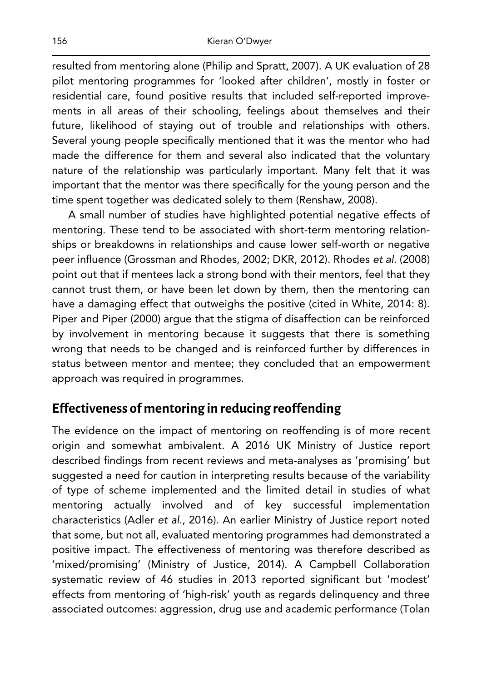resulted from mentoring alone (Philip and Spratt, 2007). A UK evaluation of 28 pilot mentoring programmes for 'looked after children', mostly in foster or residential care, found positive results that included self-reported improvements in all areas of their schooling, feelings about themselves and their future, likelihood of staying out of trouble and relationships with others. Several young people specifically mentioned that it was the mentor who had made the difference for them and several also indicated that the voluntary nature of the relationship was particularly important. Many felt that it was important that the mentor was there specifically for the young person and the time spent together was dedicated solely to them (Renshaw, 2008).

A small number of studies have highlighted potential negative effects of mentoring. These tend to be associated with short-term mentoring relationships or breakdowns in relationships and cause lower self-worth or negative peer influence (Grossman and Rhodes, 2002; DKR, 2012). Rhodes *et al*. (2008) point out that if mentees lack a strong bond with their mentors, feel that they cannot trust them, or have been let down by them, then the mentoring can have a damaging effect that outweighs the positive (cited in White, 2014: 8). Piper and Piper (2000) argue that the stigma of disaffection can be reinforced by involvement in mentoring because it suggests that there is something wrong that needs to be changed and is reinforced further by differences in status between mentor and mentee; they concluded that an empowerment approach was required in programmes.

# **Effectiveness of mentoring in reducing reoffending**

The evidence on the impact of mentoring on reoffending is of more recent origin and somewhat ambivalent. A 2016 UK Ministry of Justice report described findings from recent reviews and meta-analyses as 'promising' but suggested a need for caution in interpreting results because of the variability of type of scheme implemented and the limited detail in studies of what mentoring actually involved and of key successful implementation characteristics (Adler *et al*., 2016). An earlier Ministry of Justice report noted that some, but not all, evaluated mentoring programmes had demonstrated a positive impact. The effectiveness of mentoring was therefore described as 'mixed/promising' (Ministry of Justice, 2014). A Campbell Collaboration systematic review of 46 studies in 2013 reported significant but 'modest' effects from mentoring of 'high-risk' youth as regards delinquency and three associated outcomes: aggression, drug use and academic performance (Tolan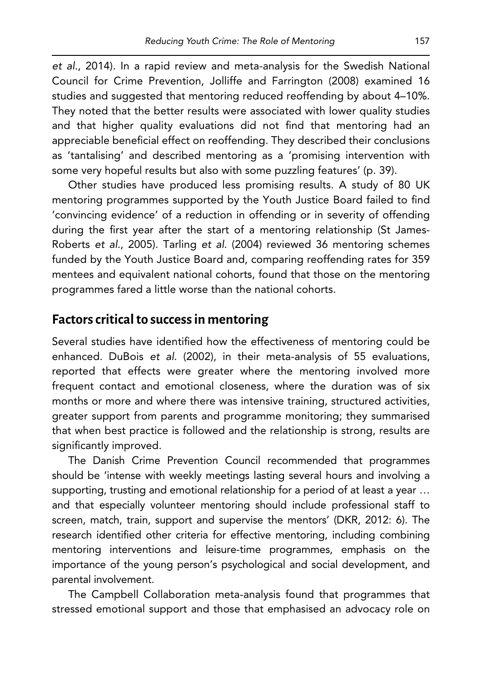*et al*., 2014). In a rapid review and meta-analysis for the Swedish National Council for Crime Prevention, Jolliffe and Farrington (2008) examined 16 studies and suggested that mentoring reduced reoffending by about 4–10%. They noted that the better results were associated with lower quality studies and that higher quality evaluations did not find that mentoring had an appreciable beneficial effect on reoffending. They described their conclusions as 'tantalising' and described mentoring as a 'promising intervention with some very hopeful results but also with some puzzling features' (p. 39).

Other studies have produced less promising results. A study of 80 UK mentoring programmes supported by the Youth Justice Board failed to find 'convincing evidence' of a reduction in offending or in severity of offending during the first year after the start of a mentoring relationship (St James-Roberts *et al*., 2005). Tarling *et al*. (2004) reviewed 36 mentoring schemes funded by the Youth Justice Board and, comparing reoffending rates for 359 mentees and equivalent national cohorts, found that those on the mentoring programmes fared a little worse than the national cohorts.

# **Factors critical to success in mentoring**

Several studies have identified how the effectiveness of mentoring could be enhanced. DuBois *et al*. (2002), in their meta-analysis of 55 evaluations, reported that effects were greater where the mentoring involved more frequent contact and emotional closeness, where the duration was of six months or more and where there was intensive training, structured activities, greater support from parents and programme monitoring; they summarised that when best practice is followed and the relationship is strong, results are significantly improved.

The Danish Crime Prevention Council recommended that programmes should be 'intense with weekly meetings lasting several hours and involving a supporting, trusting and emotional relationship for a period of at least a year … and that especially volunteer mentoring should include professional staff to screen, match, train, support and supervise the mentors' (DKR, 2012: 6). The research identified other criteria for effective mentoring, including combining mentoring interventions and leisure-time programmes, emphasis on the importance of the young person's psychological and social development, and parental involvement.

The Campbell Collaboration meta-analysis found that programmes that stressed emotional support and those that emphasised an advocacy role on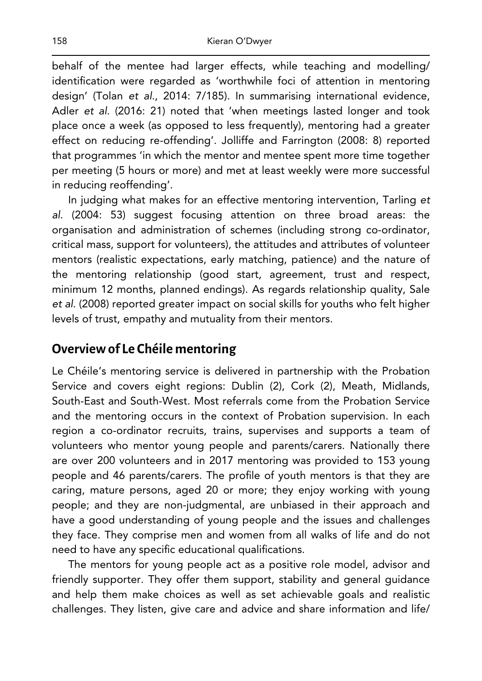behalf of the mentee had larger effects, while teaching and modelling/ identification were regarded as 'worthwhile foci of attention in mentoring design' (Tolan *et al*., 2014: 7/185). In summarising international evidence, Adler *et al*. (2016: 21) noted that 'when meetings lasted longer and took place once a week (as opposed to less frequently), mentoring had a greater effect on reducing re-offending'. Jolliffe and Farrington (2008: 8) reported that programmes 'in which the mentor and mentee spent more time together per meeting (5 hours or more) and met at least weekly were more successful in reducing reoffending'.

In judging what makes for an effective mentoring intervention, Tarling *et al*. (2004: 53) suggest focusing attention on three broad areas: the organisation and administration of schemes (including strong co-ordinator, critical mass, support for volunteers), the attitudes and attributes of volunteer mentors (realistic expectations, early matching, patience) and the nature of the mentoring relationship (good start, agreement, trust and respect, minimum 12 months, planned endings). As regards relationship quality, Sale *et al*. (2008) reported greater impact on social skills for youths who felt higher levels of trust, empathy and mutuality from their mentors.

#### **Overview of Le Chéile mentoring**

Le Chéile's mentoring service is delivered in partnership with the Probation Service and covers eight regions: Dublin (2), Cork (2), Meath, Midlands, South-East and South-West. Most referrals come from the Probation Service and the mentoring occurs in the context of Probation supervision. In each region a co-ordinator recruits, trains, supervises and supports a team of volunteers who mentor young people and parents/carers. Nationally there are over 200 volunteers and in 2017 mentoring was provided to 153 young people and 46 parents/carers. The profile of youth mentors is that they are caring, mature persons, aged 20 or more; they enjoy working with young people; and they are non-judgmental, are unbiased in their approach and have a good understanding of young people and the issues and challenges they face. They comprise men and women from all walks of life and do not need to have any specific educational qualifications.

The mentors for young people act as a positive role model, advisor and friendly supporter. They offer them support, stability and general guidance and help them make choices as well as set achievable goals and realistic challenges. They listen, give care and advice and share information and life/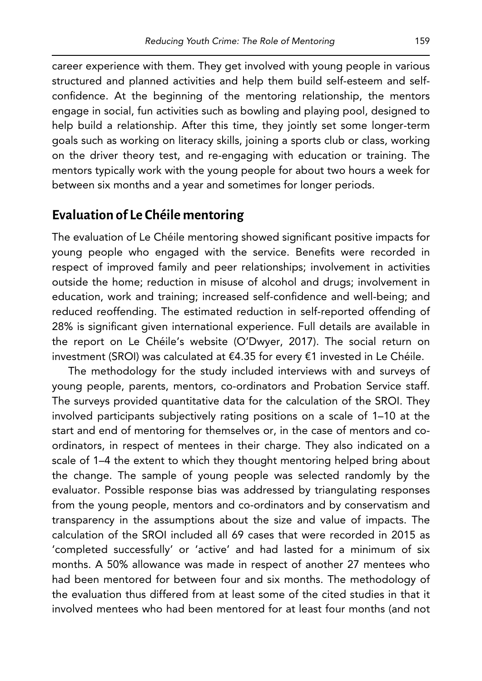career experience with them. They get involved with young people in various structured and planned activities and help them build self-esteem and selfconfidence. At the beginning of the mentoring relationship, the mentors engage in social, fun activities such as bowling and playing pool, designed to help build a relationship. After this time, they jointly set some longer-term goals such as working on literacy skills, joining a sports club or class, working on the driver theory test, and re-engaging with education or training. The mentors typically work with the young people for about two hours a week for between six months and a year and sometimes for longer periods.

# **Evaluation of Le Chéile mentoring**

The evaluation of Le Chéile mentoring showed significant positive impacts for young people who engaged with the service. Benefits were recorded in respect of improved family and peer relationships; involvement in activities outside the home; reduction in misuse of alcohol and drugs; involvement in education, work and training; increased self-confidence and well-being; and reduced reoffending. The estimated reduction in self-reported offending of 28% is significant given international experience. Full details are available in the report on Le Chéile's website (O'Dwyer, 2017). The social return on investment (SROI) was calculated at €4.35 for every €1 invested in Le Chéile.

The methodology for the study included interviews with and surveys of young people, parents, mentors, co-ordinators and Probation Service staff. The surveys provided quantitative data for the calculation of the SROI. They involved participants subjectively rating positions on a scale of 1–10 at the start and end of mentoring for themselves or, in the case of mentors and coordinators, in respect of mentees in their charge. They also indicated on a scale of 1–4 the extent to which they thought mentoring helped bring about the change. The sample of young people was selected randomly by the evaluator. Possible response bias was addressed by triangulating responses from the young people, mentors and co-ordinators and by conservatism and transparency in the assumptions about the size and value of impacts. The calculation of the SROI included all 69 cases that were recorded in 2015 as 'completed successfully' or 'active' and had lasted for a minimum of six months. A 50% allowance was made in respect of another 27 mentees who had been mentored for between four and six months. The methodology of the evaluation thus differed from at least some of the cited studies in that it involved mentees who had been mentored for at least four months (and not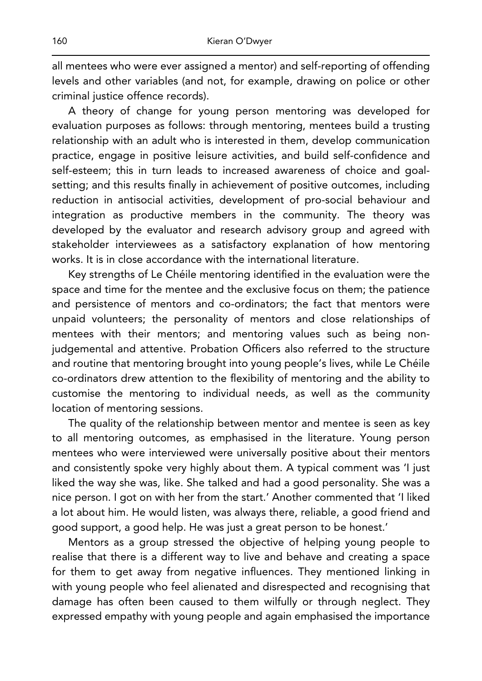all mentees who were ever assigned a mentor) and self-reporting of offending levels and other variables (and not, for example, drawing on police or other criminal justice offence records).

A theory of change for young person mentoring was developed for evaluation purposes as follows: through mentoring, mentees build a trusting relationship with an adult who is interested in them, develop communication practice, engage in positive leisure activities, and build self-confidence and self-esteem; this in turn leads to increased awareness of choice and goalsetting; and this results finally in achievement of positive outcomes, including reduction in antisocial activities, development of pro-social behaviour and integration as productive members in the community. The theory was developed by the evaluator and research advisory group and agreed with stakeholder interviewees as a satisfactory explanation of how mentoring works. It is in close accordance with the international literature.

Key strengths of Le Chéile mentoring identified in the evaluation were the space and time for the mentee and the exclusive focus on them; the patience and persistence of mentors and co-ordinators; the fact that mentors were unpaid volunteers; the personality of mentors and close relationships of mentees with their mentors; and mentoring values such as being nonjudgemental and attentive. Probation Officers also referred to the structure and routine that mentoring brought into young people's lives, while Le Chéile co-ordinators drew attention to the flexibility of mentoring and the ability to customise the mentoring to individual needs, as well as the community location of mentoring sessions.

The quality of the relationship between mentor and mentee is seen as key to all mentoring outcomes, as emphasised in the literature. Young person mentees who were interviewed were universally positive about their mentors and consistently spoke very highly about them. A typical comment was 'I just liked the way she was, like. She talked and had a good personality. She was a nice person. I got on with her from the start.' Another commented that 'I liked a lot about him. He would listen, was always there, reliable, a good friend and good support, a good help. He was just a great person to be honest.'

Mentors as a group stressed the objective of helping young people to realise that there is a different way to live and behave and creating a space for them to get away from negative influences. They mentioned linking in with young people who feel alienated and disrespected and recognising that damage has often been caused to them wilfully or through neglect. They expressed empathy with young people and again emphasised the importance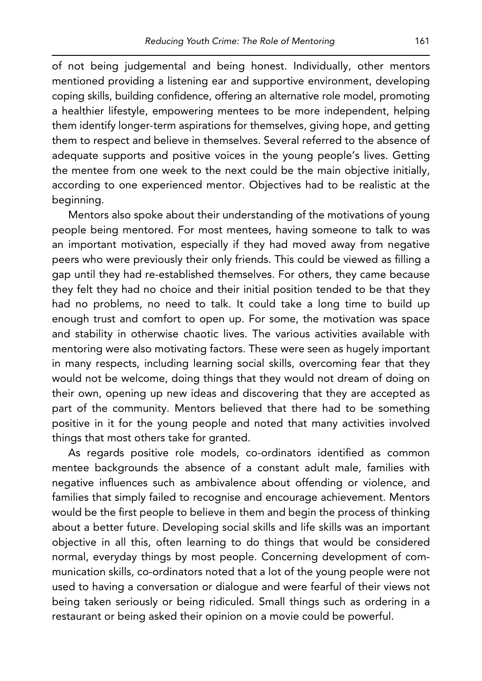of not being judgemental and being honest. Individually, other mentors mentioned providing a listening ear and supportive environment, developing coping skills, building confidence, offering an alternative role model, promoting a healthier lifestyle, empowering mentees to be more independent, helping them identify longer-term aspirations for themselves, giving hope, and getting them to respect and believe in themselves. Several referred to the absence of adequate supports and positive voices in the young people's lives. Getting the mentee from one week to the next could be the main objective initially, according to one experienced mentor. Objectives had to be realistic at the beginning.

Mentors also spoke about their understanding of the motivations of young people being mentored. For most mentees, having someone to talk to was an important motivation, especially if they had moved away from negative peers who were previously their only friends. This could be viewed as filling a gap until they had re-established themselves. For others, they came because they felt they had no choice and their initial position tended to be that they had no problems, no need to talk. It could take a long time to build up enough trust and comfort to open up. For some, the motivation was space and stability in otherwise chaotic lives. The various activities available with mentoring were also motivating factors. These were seen as hugely important in many respects, including learning social skills, overcoming fear that they would not be welcome, doing things that they would not dream of doing on their own, opening up new ideas and discovering that they are accepted as part of the community. Mentors believed that there had to be something positive in it for the young people and noted that many activities involved things that most others take for granted.

As regards positive role models, co-ordinators identified as common mentee backgrounds the absence of a constant adult male, families with negative influences such as ambivalence about offending or violence, and families that simply failed to recognise and encourage achievement. Mentors would be the first people to believe in them and begin the process of thinking about a better future. Developing social skills and life skills was an important objective in all this, often learning to do things that would be considered normal, everyday things by most people. Concerning development of communication skills, co-ordinators noted that a lot of the young people were not used to having a conversation or dialogue and were fearful of their views not being taken seriously or being ridiculed. Small things such as ordering in a restaurant or being asked their opinion on a movie could be powerful.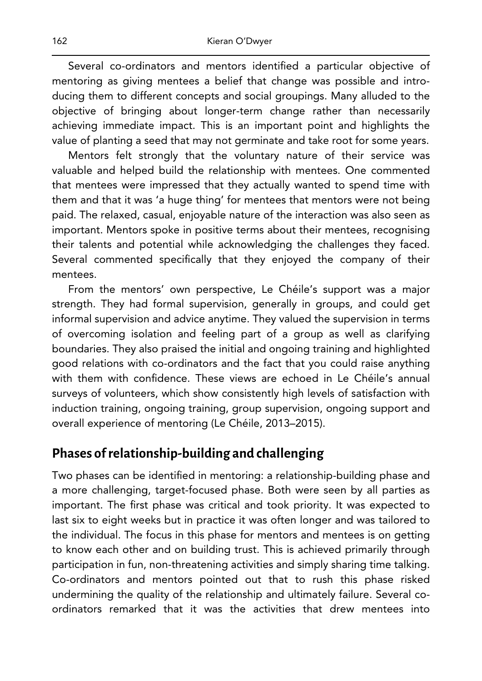Several co-ordinators and mentors identified a particular objective of mentoring as giving mentees a belief that change was possible and introducing them to different concepts and social groupings. Many alluded to the objective of bringing about longer-term change rather than necessarily achieving immediate impact. This is an important point and highlights the value of planting a seed that may not germinate and take root for some years.

Mentors felt strongly that the voluntary nature of their service was valuable and helped build the relationship with mentees. One commented that mentees were impressed that they actually wanted to spend time with them and that it was 'a huge thing' for mentees that mentors were not being paid. The relaxed, casual, enjoyable nature of the interaction was also seen as important. Mentors spoke in positive terms about their mentees, recognising their talents and potential while acknowledging the challenges they faced. Several commented specifically that they enjoyed the company of their mentees.

From the mentors' own perspective, Le Chéile's support was a major strength. They had formal supervision, generally in groups, and could get informal supervision and advice anytime. They valued the supervision in terms of overcoming isolation and feeling part of a group as well as clarifying boundaries. They also praised the initial and ongoing training and highlighted good relations with co-ordinators and the fact that you could raise anything with them with confidence. These views are echoed in Le Chéile's annual surveys of volunteers, which show consistently high levels of satisfaction with induction training, ongoing training, group supervision, ongoing support and overall experience of mentoring (Le Chéile, 2013–2015).

## **Phases of relationship-building and challenging**

Two phases can be identified in mentoring: a relationship-building phase and a more challenging, target-focused phase. Both were seen by all parties as important. The first phase was critical and took priority. It was expected to last six to eight weeks but in practice it was often longer and was tailored to the individual. The focus in this phase for mentors and mentees is on getting to know each other and on building trust. This is achieved primarily through participation in fun, non-threatening activities and simply sharing time talking. Co-ordinators and mentors pointed out that to rush this phase risked undermining the quality of the relationship and ultimately failure. Several coordinators remarked that it was the activities that drew mentees into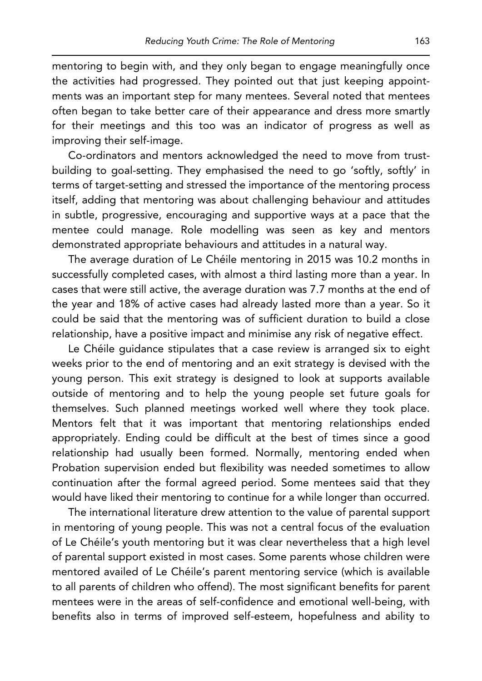mentoring to begin with, and they only began to engage meaningfully once the activities had progressed. They pointed out that just keeping appointments was an important step for many mentees. Several noted that mentees often began to take better care of their appearance and dress more smartly for their meetings and this too was an indicator of progress as well as improving their self-image.

Co-ordinators and mentors acknowledged the need to move from trustbuilding to goal-setting. They emphasised the need to go 'softly, softly' in terms of target-setting and stressed the importance of the mentoring process itself, adding that mentoring was about challenging behaviour and attitudes in subtle, progressive, encouraging and supportive ways at a pace that the mentee could manage. Role modelling was seen as key and mentors demonstrated appropriate behaviours and attitudes in a natural way.

The average duration of Le Chéile mentoring in 2015 was 10.2 months in successfully completed cases, with almost a third lasting more than a year. In cases that were still active, the average duration was 7.7 months at the end of the year and 18% of active cases had already lasted more than a year. So it could be said that the mentoring was of sufficient duration to build a close relationship, have a positive impact and minimise any risk of negative effect.

Le Chéile guidance stipulates that a case review is arranged six to eight weeks prior to the end of mentoring and an exit strategy is devised with the young person. This exit strategy is designed to look at supports available outside of mentoring and to help the young people set future goals for themselves. Such planned meetings worked well where they took place. Mentors felt that it was important that mentoring relationships ended appropriately. Ending could be difficult at the best of times since a good relationship had usually been formed. Normally, mentoring ended when Probation supervision ended but flexibility was needed sometimes to allow continuation after the formal agreed period. Some mentees said that they would have liked their mentoring to continue for a while longer than occurred.

The international literature drew attention to the value of parental support in mentoring of young people. This was not a central focus of the evaluation of Le Chéile's youth mentoring but it was clear nevertheless that a high level of parental support existed in most cases. Some parents whose children were mentored availed of Le Chéile's parent mentoring service (which is available to all parents of children who offend). The most significant benefits for parent mentees were in the areas of self-confidence and emotional well-being, with benefits also in terms of improved self-esteem, hopefulness and ability to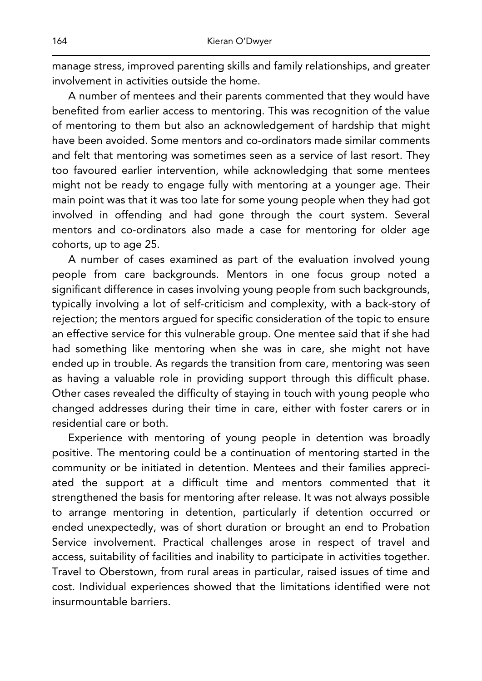manage stress, improved parenting skills and family relationships, and greater involvement in activities outside the home.

A number of mentees and their parents commented that they would have benefited from earlier access to mentoring. This was recognition of the value of mentoring to them but also an acknowledgement of hardship that might have been avoided. Some mentors and co-ordinators made similar comments and felt that mentoring was sometimes seen as a service of last resort. They too favoured earlier intervention, while acknowledging that some mentees might not be ready to engage fully with mentoring at a younger age. Their main point was that it was too late for some young people when they had got involved in offending and had gone through the court system. Several mentors and co-ordinators also made a case for mentoring for older age cohorts, up to age 25.

A number of cases examined as part of the evaluation involved young people from care backgrounds. Mentors in one focus group noted a significant difference in cases involving young people from such backgrounds, typically involving a lot of self-criticism and complexity, with a back-story of rejection; the mentors argued for specific consideration of the topic to ensure an effective service for this vulnerable group. One mentee said that if she had had something like mentoring when she was in care, she might not have ended up in trouble. As regards the transition from care, mentoring was seen as having a valuable role in providing support through this difficult phase. Other cases revealed the difficulty of staying in touch with young people who changed addresses during their time in care, either with foster carers or in residential care or both.

Experience with mentoring of young people in detention was broadly positive. The mentoring could be a continuation of mentoring started in the community or be initiated in detention. Mentees and their families appreciated the support at a difficult time and mentors commented that it strengthened the basis for mentoring after release. It was not always possible to arrange mentoring in detention, particularly if detention occurred or ended unexpectedly, was of short duration or brought an end to Probation Service involvement. Practical challenges arose in respect of travel and access, suitability of facilities and inability to participate in activities together. Travel to Oberstown, from rural areas in particular, raised issues of time and cost. Individual experiences showed that the limitations identified were not insurmountable barriers.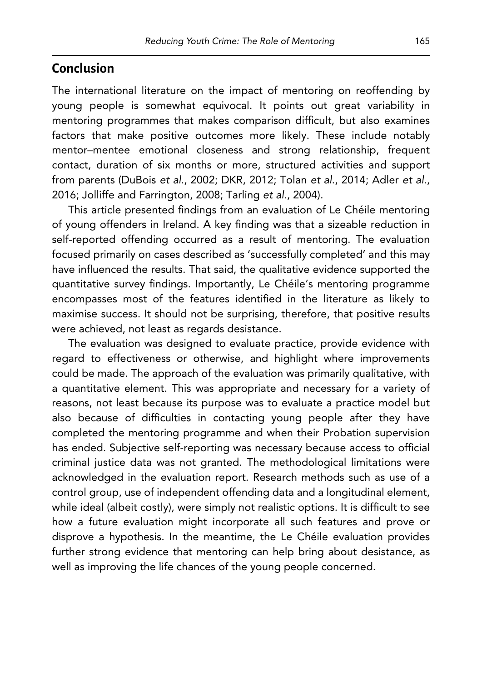#### **Conclusion**

The international literature on the impact of mentoring on reoffending by young people is somewhat equivocal. It points out great variability in mentoring programmes that makes comparison difficult, but also examines factors that make positive outcomes more likely. These include notably mentor–mentee emotional closeness and strong relationship, frequent contact, duration of six months or more, structured activities and support from parents (DuBois *et al*., 2002; DKR, 2012; Tolan *et al*., 2014; Adler *et al*., 2016; Jolliffe and Farrington, 2008; Tarling *et al*., 2004).

This article presented findings from an evaluation of Le Chéile mentoring of young offenders in Ireland. A key finding was that a sizeable reduction in self-reported offending occurred as a result of mentoring. The evaluation focused primarily on cases described as 'successfully completed' and this may have influenced the results. That said, the qualitative evidence supported the quantitative survey findings. Importantly, Le Chéile's mentoring programme encompasses most of the features identified in the literature as likely to maximise success. It should not be surprising, therefore, that positive results were achieved, not least as regards desistance.

The evaluation was designed to evaluate practice, provide evidence with regard to effectiveness or otherwise, and highlight where improvements could be made. The approach of the evaluation was primarily qualitative, with a quantitative element. This was appropriate and necessary for a variety of reasons, not least because its purpose was to evaluate a practice model but also because of difficulties in contacting young people after they have completed the mentoring programme and when their Probation supervision has ended. Subjective self-reporting was necessary because access to official criminal justice data was not granted. The methodological limitations were acknowledged in the evaluation report. Research methods such as use of a control group, use of independent offending data and a longitudinal element, while ideal (albeit costly), were simply not realistic options. It is difficult to see how a future evaluation might incorporate all such features and prove or disprove a hypothesis. In the meantime, the Le Chéile evaluation provides further strong evidence that mentoring can help bring about desistance, as well as improving the life chances of the young people concerned.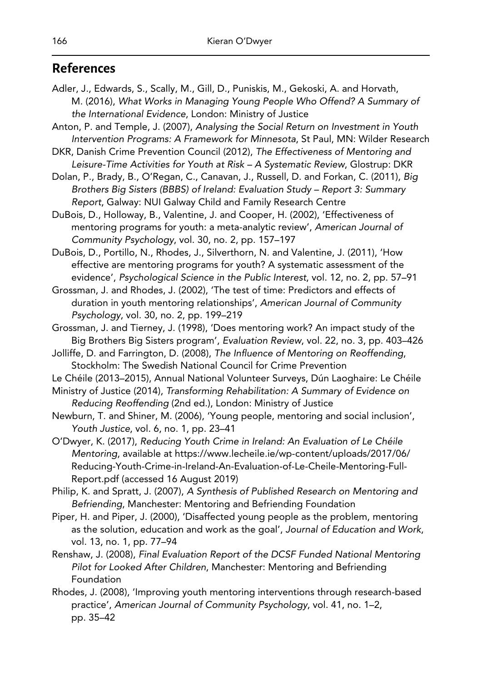# **References**

- Adler, J., Edwards, S., Scally, M., Gill, D., Puniskis, M., Gekoski, A. and Horvath, M. (2016), *What Works in Managing Young People Who Offend? A Summary of the International Evidence*, London: Ministry of Justice
- Anton, P. and Temple, J. (2007), *Analysing the Social Return on Investment in Youth Intervention Programs: A Framework for Minnesota*, St Paul, MN: Wilder Research
- DKR, Danish Crime Prevention Council (2012), *The Effectiveness of Mentoring and Leisure-Time Activities for Youth at Risk – A Systematic Review*, Glostrup: DKR
- Dolan, P., Brady, B., O'Regan, C., Canavan, J., Russell, D. and Forkan, C. (2011), *Big Brothers Big Sisters (BBBS) of Ireland: Evaluation Study – Report 3: Summary Report*, Galway: NUI Galway Child and Family Research Centre
- DuBois, D., Holloway, B., Valentine, J. and Cooper, H. (2002), 'Effectiveness of mentoring programs for youth: a meta-analytic review', *American Journal of Community Psychology*, vol. 30, no. 2, pp. 157–197
- DuBois, D., Portillo, N., Rhodes, J., Silverthorn, N. and Valentine, J. (2011), 'How effective are mentoring programs for youth? A systematic assessment of the evidence', *Psychological Science in the Public Interest*, vol. 12, no. 2, pp. 57–91
- Grossman, J. and Rhodes, J. (2002), 'The test of time: Predictors and effects of duration in youth mentoring relationships', *American Journal of Community Psychology*, vol. 30, no. 2, pp. 199–219
- Grossman, J. and Tierney, J. (1998), 'Does mentoring work? An impact study of the Big Brothers Big Sisters program', *Evaluation Review*, vol. 22, no. 3, pp. 403–426
- Jolliffe, D. and Farrington, D. (2008), *The Influence of Mentoring on Reoffending*, Stockholm: The Swedish National Council for Crime Prevention
- Le Chéile (2013–2015), Annual National Volunteer Surveys, Dún Laoghaire: Le Chéile
- Ministry of Justice (2014), *Transforming Rehabilitation: A Summary of Evidence on Reducing Reoffending* (2nd ed.), London: Ministry of Justice
- Newburn, T. and Shiner, M. (2006), 'Young people, mentoring and social inclusion', *Youth Justice*, vol. 6, no. 1, pp. 23–41
- O'Dwyer, K. (2017), *Reducing Youth Crime in Ireland: An Evaluation of Le Chéile Mentoring*, available at https://www.lecheile.ie/wp-content/uploads/2017/06/ Reducing-Youth-Crime-in-Ireland-An-Evaluation-of-Le-Cheile-Mentoring-Full-Report.pdf (accessed 16 August 2019)
- Philip, K. and Spratt, J. (2007), *A Synthesis of Published Research on Mentoring and Befriending*, Manchester: Mentoring and Befriending Foundation
- Piper, H. and Piper, J. (2000), 'Disaffected young people as the problem, mentoring as the solution, education and work as the goal', *Journal of Education and Work*, vol. 13, no. 1, pp. 77–94
- Renshaw, J. (2008), *Final Evaluation Report of the DCSF Funded National Mentoring Pilot for Looked After Children*, Manchester: Mentoring and Befriending Foundation
- Rhodes, J. (2008), 'Improving youth mentoring interventions through research-based practice', *American Journal of Community Psychology*, vol. 41, no. 1–2, pp. 35–42